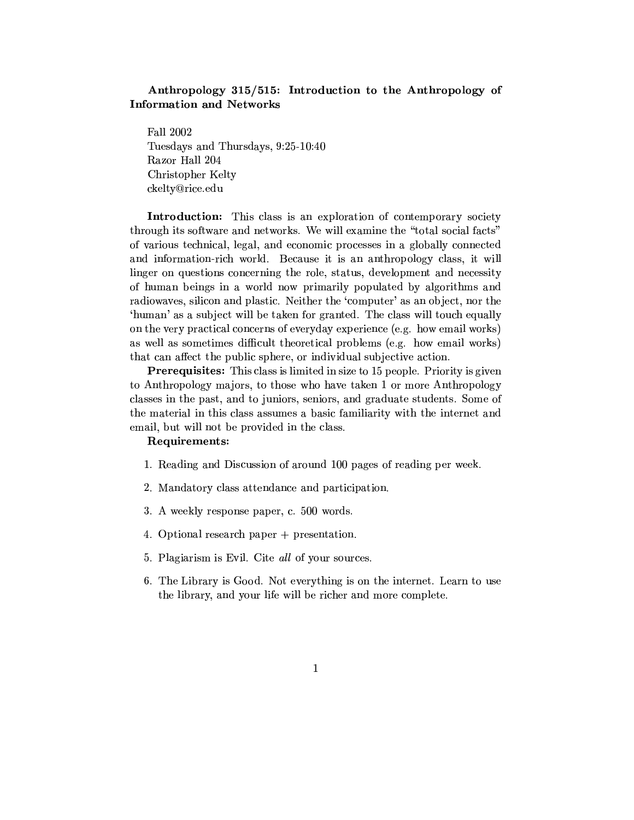### Anthropology 315/515: Introduction to the Anthropology of **Information and Networks**

Fall 2002 Tuesdays and Thursdays, 9:25-10:40 Razor Hall 204 Christopher Kelty ckelty@rice.edu

Introduction: This class is an exploration of contemporary society through its software and networks. We will examine the "total social facts" of various technical, legal, and economic processes in a globally connected and information-rich world. Because it is an anthropology class, it will linger on questions concerning the role, status, development and necessity of human beings in a world now primarily populated by algorithms and radiowaves, silicon and plastic. Neither the 'computer' as an object, nor the 'human' as a subject will be taken for granted. The class will touch equally on the very practical concerns of everyday experience (e.g. how email works) as well as sometimes difficult theoretical problems (e.g. how email works) that can affect the public sphere, or individual subjective action.

**Prerequisites:** This class is limited in size to 15 people. Priority is given to Anthropology majors, to those who have taken 1 or more Anthropology classes in the past, and to juniors, seniors, and graduate students. Some of the material in this class assumes a basic familiarity with the internet and email, but will not be provided in the class.

#### Requirements:

- 1. Reading and Discussion of around 100 pages of reading per week.
- 2. Mandatory class attendance and participation.
- 3. A weekly response paper, c. 500 words.
- 4. Optional research paper + presentation.
- 5. Plagiarism is Evil. Cite all of your sources.
- 6. The Library is Good. Not everything is on the internet. Learn to use the library, and your life will be richer and more complete.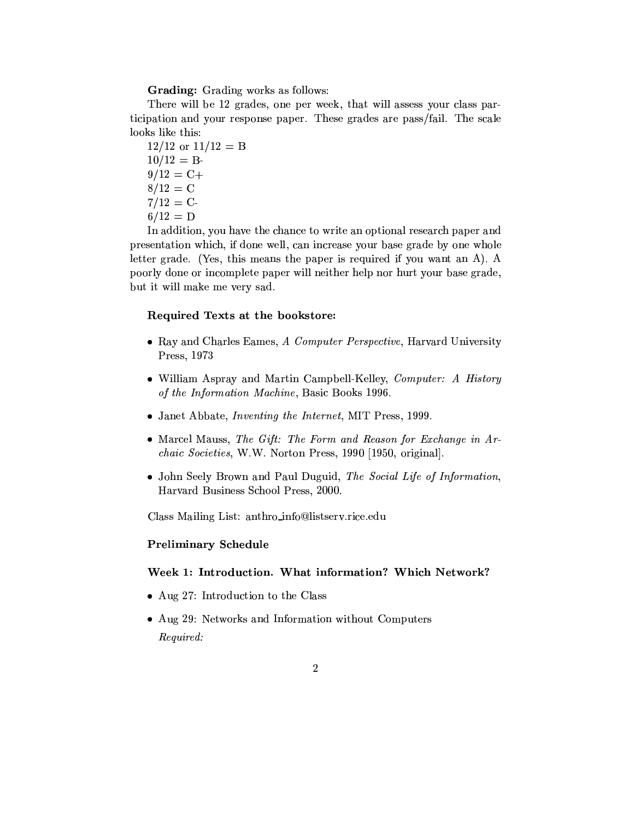Grading: Grading works as follows:

There will be 12 grades, one per week, that will assess your class participation and your response paper. These grades are pass/fail. The scale looks like this:

 $12/12$  or  $11/12 = B$  $10/12 = B$  $9/12 = C +$  $8/12 = C$  $7/12 = C$  $6/12 = D$ 

In addition, you have the chance to write an optional research paper and presentation which, if done well, can increase your base grade by one whole letter grade. (Yes, this means the paper is required if you want an A). A poorly done or incomplete paper will neither help nor hurt your base grade, but it will make me very sad.

#### Required Texts at the bookstore:

- Ray and Charles Eames, A Computer Perspective, Harvard University Press, 1973
- William Aspray and Martin Campbell-Kelley, Computer: A History of the Information Machine, Basic Books 1996.
- Janet Abbate, *Inventing the Internet*, MIT Press, 1999.
- Marcel Mauss, The Gift: The Form and Reason for Exchange in  $Ar$ chaic Societies, W.W. Norton Press, 1990 [1950, original].
- John Seely Brown and Paul Duguid, The Social Life of Information, Harvard Business School Press, 2000.

Class Mailing List: anthro\_info@listserv.rice.edu

#### **Preliminary Schedule**

#### Week 1: Introduction. What information? Which Network?

- Aug 27: Introduction to the Class
- Aug 29: Networks and Information without Computers Required: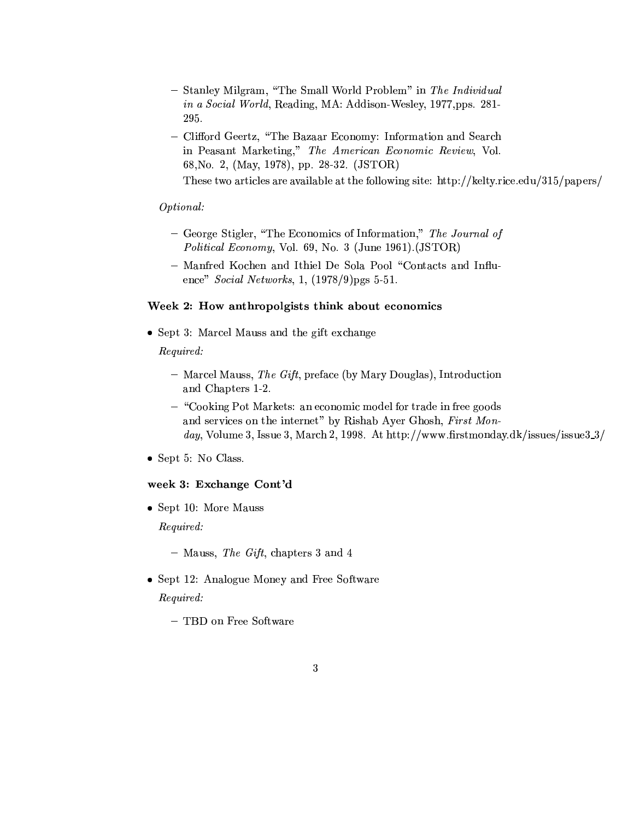- Stanley Milgram, "The Small World Problem" in The Individual in a Social World, Reading, MA: Addison-Wesley, 1977,pps. 281-295.
- Clifford Geertz, "The Bazaar Economy: Information and Search in Peasant Marketing," The American Economic Review, Vol. 68, No. 2, (May, 1978), pp. 28-32. (JSTOR)

These two articles are available at the following site: http://kelty.rice.edu/315/papers/

### Optional:

- George Stigler, "The Economics of Information," The Journal of Political Economy, Vol. 69, No. 3 (June 1961). (JSTOR)
- Manfred Kochen and Ithiel De Sola Pool "Contacts and Influence" Social Networks, 1, (1978/9)pgs 5-51.

#### Week 2: How anthropolgists think about economics

• Sept 3: Marcel Mauss and the gift exchange

Required:

- Marcel Mauss, The Gift, preface (by Mary Douglas), Introduction and Chapters 1-2.
- "Cooking Pot Markets: an economic model for trade in free goods and services on the internet" by Rishab Ayer Ghosh, First Monday, Volume 3, Issue 3, March 2, 1998. At http://www.firstmonday.dk/issues/issue $3/3$
- $\bullet$  Sept 5: No Class.

#### week 3: Exchange Cont'd

 $\bullet$  Sept 10: More Mauss *Required:* 

 $-$  Mauss, The Gift, chapters 3 and 4

- Sept 12: Analogue Money and Free Software Required:
	- TBD on Free Software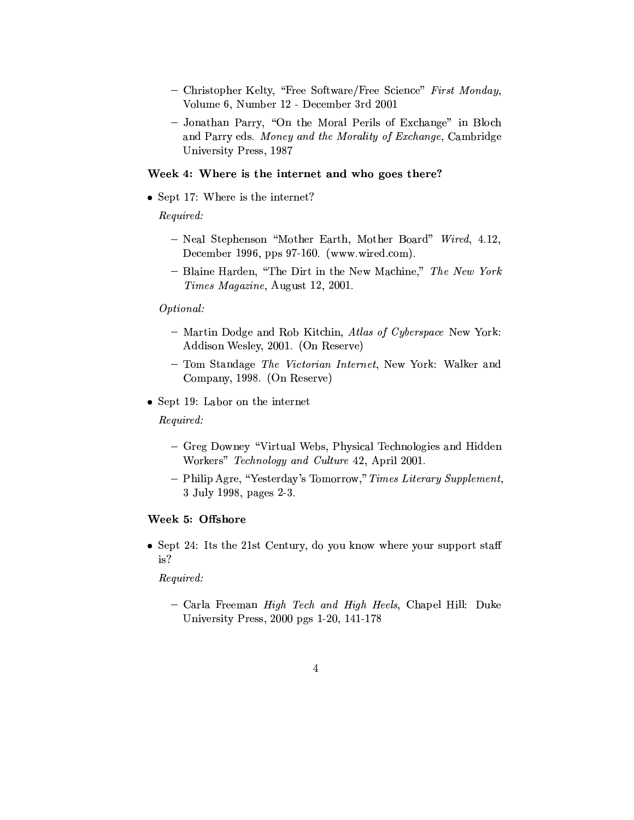- Christopher Kelty, "Free Software/Free Science" First Monday, Volume 6, Number 12 - December 3rd 2001
- Jonathan Parry, "On the Moral Perils of Exchange" in Bloch and Parry eds. Money and the Morality of Exchange, Cambridge University Press, 1987

### Week 4: Where is the internet and who goes there?

• Sept 17: Where is the internet?

Required:

- Neal Stephenson "Mother Earth, Mother Board" Wired, 4.12, December 1996, pps 97-160. (www.wired.com).
- Blaine Harden, "The Dirt in the New Machine," The New York Times Magazine, August 12, 2001.

### Optional:

- Martin Dodge and Rob Kitchin, Atlas of Cyberspace New York: Addison Wesley, 2001. (On Reserve)
- Tom Standage The Victorian Internet, New York: Walker and Company, 1998. (On Reserve)
- Sept 19: Labor on the internet

Required:

- Greg Downey "Virtual Webs, Physical Technologies and Hidden Workers" Technology and Culture 42, April 2001.
- Philip Agre, "Yesterday's Tomorrow," Times Literary Supplement, 3 July 1998, pages 2-3.

#### Week 5: Offshore

• Sept 24: Its the 21st Century, do you know where your support staff is?

### Required:

- Carla Freeman High Tech and High Heels, Chapel Hill: Duke University Press, 2000 pgs 1-20, 141-178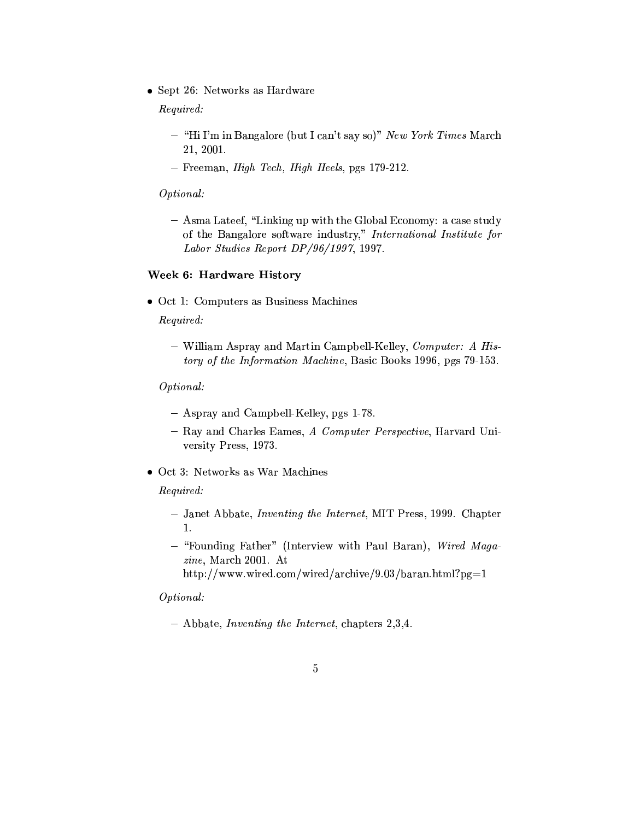• Sept 26: Networks as Hardware

Required:

- "Hi I'm in Bangalore (but I can't say so)" New York Times March 21, 2001.
- $-$  Freeman, *High Tech, High Heels*, pgs 179-212.

Optional:

- Asma Lateef, "Linking up with the Global Economy: a case study of the Bangalore software industry," International Institute for Labor Studies Report DP/96/1997, 1997.

# Week 6: Hardware History

• Oct 1: Computers as Business Machines

Required:

- William Aspray and Martin Campbell-Kelley, Computer: A History of the Information Machine, Basic Books 1996, pgs 79-153.

### Optional:

- Aspray and Campbell-Kelley, pgs 1-78.
- Ray and Charles Eames, A Computer Perspective, Harvard University Press, 1973.
- Oct 3: Networks as War Machines

#### Required:

- Janet Abbate, *Inventing the Internet*, MIT Press, 1999. Chapter 1.
- "Founding Father" (Interview with Paul Baran), Wired Maga $zine$ , March 2001. At
	- http://www.wired.com/wired/archive/9.03/baran.html?pg=1

### Optional:

 $-$  Abbate, *Inventing the Internet*, chapters 2,3,4.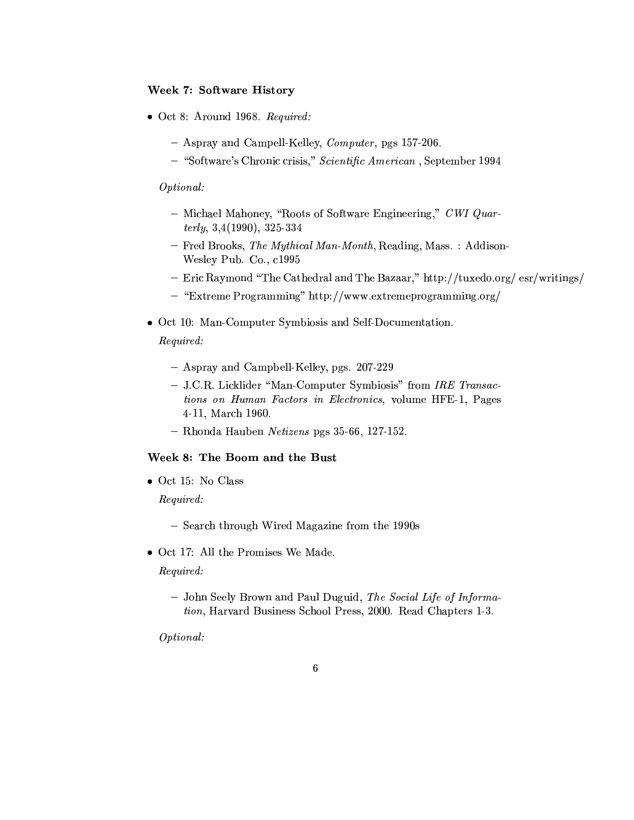### **Week 7: Software History**

- $\bullet$  Oct 8: Around 1968. Required:
	- Aspray and Campell-Kelley, *Computer*, pgs 157-206.
	- "Software's Chronic crisis," Scientific American, September 1994

### Optional:

- Michael Mahoney, "Roots of Software Engineering," CWI Quar $terly, 3,4(1990), 325-334$
- Fred Brooks, The Mythical Man-Month, Reading, Mass.: Addison-Wesley Pub. Co., c1995
- Eric Raymond "The Cathedral and The Bazaar," http://tuxedo.org/ esr/writings/
- "Extreme Programming" http://www.extremeprogramming.org/
- Oct 10: Man-Computer Symbiosis and Self-Documentation. Required:
	- Aspray and Campbell-Kelley, pgs. 207-229
	- J.C.R. Licklider "Man-Computer Symbiosis" from IRE Transactions on Human Factors in Electronics, volume HFE-1, Pages 4-11, March 1960.
	- Rhonda Hauben Netizens pgs 35-66, 127-152.

### Week 8: The Boom and the Bust

- $\bullet$  Oct 15: No Class Required:
	- Search through Wired Magazine from the 1990s
- Oct 17: All the Promises We Made.

Required:

- John Seely Brown and Paul Duguid, The Social Life of Information, Harvard Business School Press, 2000. Read Chapters 1-3.

Optional: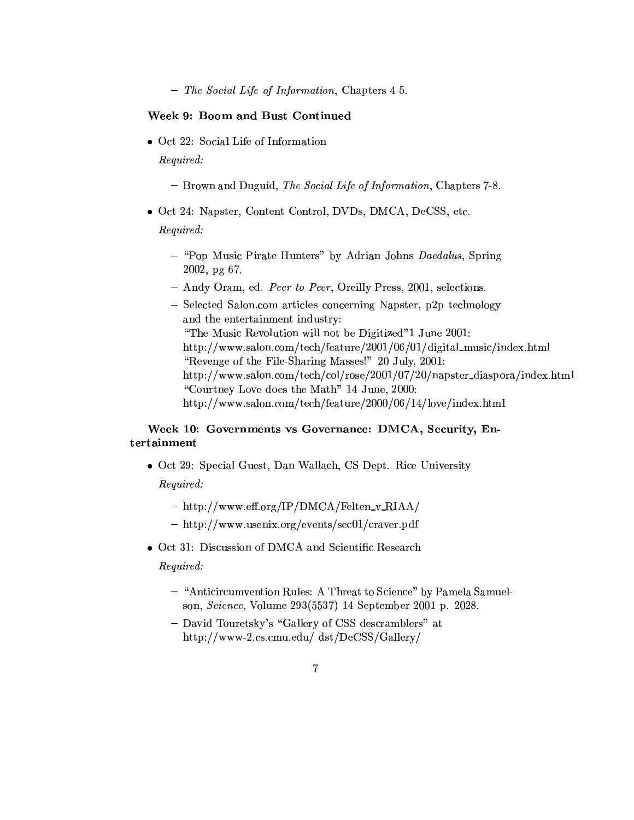$-$  The Social Life of Information, Chapters 4-5.

### Week 9: Boom and Bust Continued

• Oct 22: Social Life of Information

Required:

- Brown and Duguid, The Social Life of Information, Chapters 7-8.
- Oct 24: Napster, Content Control, DVDs, DMCA, DeCSS, etc.

Required:

- "Pop Music Pirate Hunters" by Adrian Johns Daedalus, Spring 2002, pg 67.
- Andy Oram, ed. Peer to Peer, Oreilly Press, 2001, selections.
- Selected Salon.com articles concerning Napster, p2p technology and the entertainment industry: "The Music Revolution will not be Digitized" 1 June 2001: http://www.salon.com/tech/feature/2001/06/01/digital\_music/index.html "Revenge of the File-Sharing Masses!" 20 July, 2001: http://www.salon.com/tech/col/rose/2001/07/20/napster\_diaspora/index.html "Courtney Love does the Math" 14 June, 2000: http://www.salon.com/tech/feature/2000/06/14/love/index.html

## Week 10: Governments vs Governance: DMCA, Security, Entertainment

- Oct 29: Special Guest, Dan Wallach, CS Dept. Rice University Required:
	- http://www.eff.org/IP/DMCA/Felten\_v\_RIAA/
	- http://www.usenix.org/events/sec01/craver.pdf
- Oct 31: Discussion of DMCA and Scientific Research Required:
	- "Anticircumvention Rules: A Threat to Science" by Pamela Samuelson, Science, Volume 293(5537) 14 September 2001 p. 2028.
	- David Touretsky's "Gallery of CSS descramblers" at http://www-2.cs.cmu.edu/ dst/DeCSS/Gallery/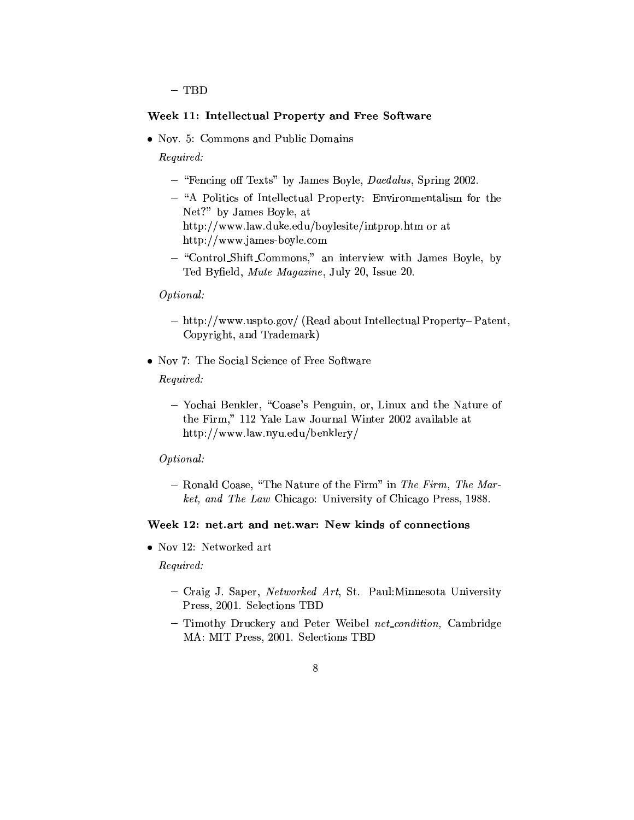$-$  TBD

#### Week 11: Intellectual Property and Free Software

• Nov. 5: Commons and Public Domains

Required:

- "Fencing off Texts" by James Boyle, Daedalus, Spring 2002.
- "A Politics of Intellectual Property: Environmentalism for the Net?" by James Boyle, at http://www.law.duke.edu/boylesite/intprop.htm or at http://www.james-boyle.com
- "Control\_Shift\_Commons," an interview with James Boyle, by Ted Byfield, Mute Magazine, July 20, Issue 20.

#### Optional:

- http://www.uspto.gov/ (Read about Intellectual Property-Patent, Copyright, and Trademark)
- Nov 7: The Social Science of Free Software

Required:

- Yochai Benkler, "Coase's Penguin, or, Linux and the Nature of the Firm," 112 Yale Law Journal Winter 2002 available at http://www.law.nyu.edu/benklery/

#### Optional:

- Ronald Coase, "The Nature of the Firm" in The Firm, The Market, and The Law Chicago: University of Chicago Press, 1988.

#### Week 12: net.art and net.war: New kinds of connections

• Nov 12: Networked art

Required:

- Craig J. Saper, Networked Art, St. Paul: Minnesota University Press, 2001. Selections TBD
- Timothy Druckery and Peter Weibel net\_condition, Cambridge MA: MIT Press, 2001. Selections TBD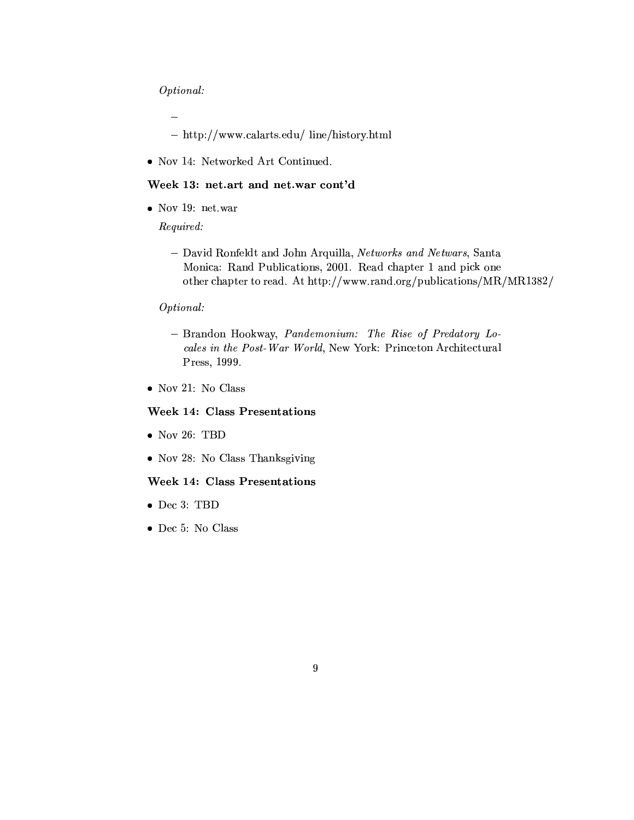### Optional:

÷,

- $-$  http://www.calarts.edu/ line/history.html
- Nov 14: Networked Art Continued.

#### Week 13: net.art and net.war cont'd

 $\bullet$  Nov 19: net.war

Required:

- David Ronfeldt and John Arquilla, Networks and Netwars, Santa Monica: Rand Publications, 2001. Read chapter 1 and pick one other chapter to read. At http://www.rand.org/publications/MR/MR1382/

## Optional:

- Brandon Hookway, Pandemonium: The Rise of Predatory Locales in the Post-War World, New York: Princeton Architectural Press, 1999.
- $\bullet$  Nov 21: No Class

### **Week 14: Class Presentations**

- $\bullet$  Nov 26: TBD
- Nov 28: No Class Thanksgiving

#### **Week 14: Class Presentations**

- $\bullet$  Dec 3: TBD
- $\bullet$  Dec 5: No Class